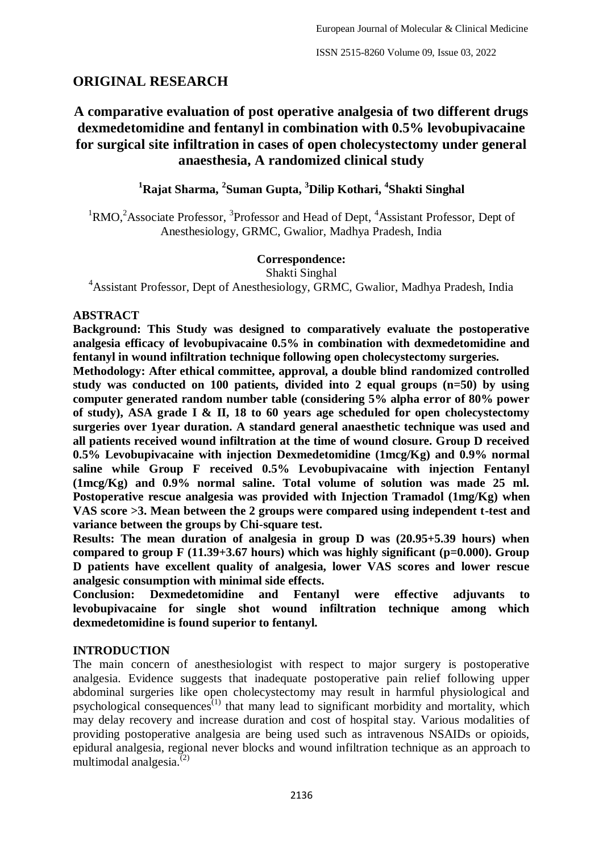## **ORIGINAL RESEARCH**

# **A comparative evaluation of post operative analgesia of two different drugs dexmedetomidine and fentanyl in combination with 0.5% levobupivacaine for surgical site infiltration in cases of open cholecystectomy under general anaesthesia, A randomized clinical study**

**<sup>1</sup>Rajat Sharma, <sup>2</sup> Suman Gupta, <sup>3</sup>Dilip Kothari, <sup>4</sup> Shakti Singhal**

 ${}^{1}$ RMO,<sup>2</sup>Associate Professor,  ${}^{3}$ Professor and Head of Dept,  ${}^{4}$ Assistant Professor, Dept of Anesthesiology, GRMC, Gwalior, Madhya Pradesh, India

#### **Correspondence:**

Shakti Singhal

<sup>4</sup>Assistant Professor, Dept of Anesthesiology, GRMC, Gwalior, Madhya Pradesh, India

#### **ABSTRACT**

**Background: This Study was designed to comparatively evaluate the postoperative analgesia efficacy of levobupivacaine 0.5% in combination with dexmedetomidine and fentanyl in wound infiltration technique following open cholecystectomy surgeries.** 

**Methodology: After ethical committee, approval, a double blind randomized controlled study was conducted on 100 patients, divided into 2 equal groups (n=50) by using computer generated random number table (considering 5% alpha error of 80% power of study), ASA grade I & II, 18 to 60 years age scheduled for open cholecystectomy surgeries over 1year duration. A standard general anaesthetic technique was used and all patients received wound infiltration at the time of wound closure. Group D received 0.5% Levobupivacaine with injection Dexmedetomidine (1mcg/Kg) and 0.9% normal saline while Group F received 0.5% Levobupivacaine with injection Fentanyl (1mcg/Kg) and 0.9% normal saline. Total volume of solution was made 25 ml. Postoperative rescue analgesia was provided with Injection Tramadol (1mg/Kg) when VAS score >3. Mean between the 2 groups were compared using independent t-test and variance between the groups by Chi-square test.**

**Results: The mean duration of analgesia in group D was (20.95+5.39 hours) when compared to group F (11.39+3.67 hours) which was highly significant (p=0.000). Group D patients have excellent quality of analgesia, lower VAS scores and lower rescue analgesic consumption with minimal side effects.** 

**Conclusion: Dexmedetomidine and Fentanyl were effective adjuvants to levobupivacaine for single shot wound infiltration technique among which dexmedetomidine is found superior to fentanyl.**

### **INTRODUCTION**

The main concern of anesthesiologist with respect to major surgery is postoperative analgesia. Evidence suggests that inadequate postoperative pain relief following upper abdominal surgeries like open cholecystectomy may result in harmful physiological and psychological consequences<sup> $(1)$ </sup> that many lead to significant morbidity and mortality, which may delay recovery and increase duration and cost of hospital stay. Various modalities of providing postoperative analgesia are being used such as intravenous NSAIDs or opioids, epidural analgesia, regional never blocks and wound infiltration technique as an approach to multimodal analgesia.<sup>(2)</sup>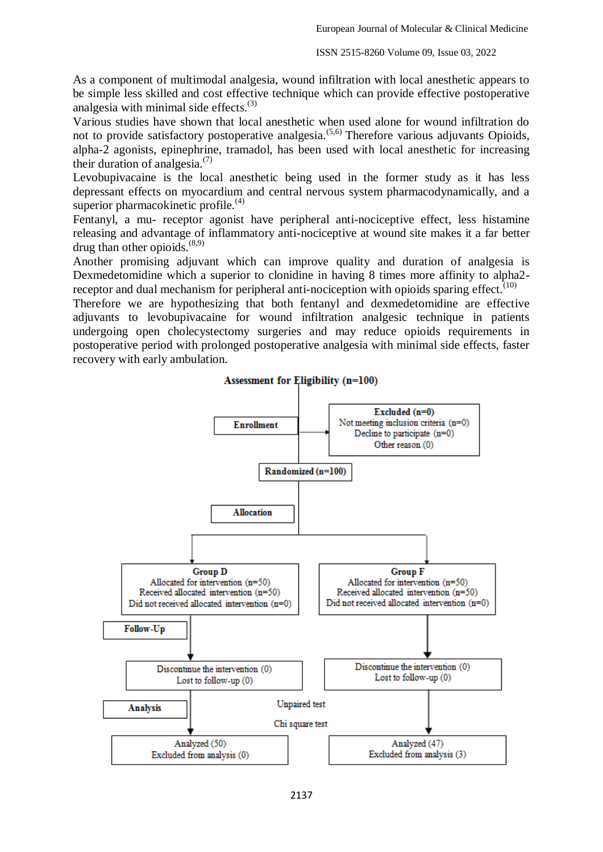As a component of multimodal analgesia, wound infiltration with local anesthetic appears to be simple less skilled and cost effective technique which can provide effective postoperative analgesia with minimal side effects. $(3)$ 

Various studies have shown that local anesthetic when used alone for wound infiltration do not to provide satisfactory postoperative analgesia.<sup> $(5,6)$ </sup> Therefore various adjuvants Opioids, alpha-2 agonists, epinephrine, tramadol, has been used with local anesthetic for increasing their duration of analgesia. $(7)$ 

Levobupivacaine is the local anesthetic being used in the former study as it has less depressant effects on myocardium and central nervous system pharmacodynamically, and a superior pharmacokinetic profile. $(4)$ 

Fentanyl, a mu- receptor agonist have peripheral anti-nociceptive effect, less histamine releasing and advantage of inflammatory anti-nociceptive at wound site makes it a far better drug than other opioids.<sup>(8,9)</sup>

Another promising adjuvant which can improve quality and duration of analgesia is Dexmedetomidine which a superior to clonidine in having 8 times more affinity to alpha2 receptor and dual mechanism for peripheral anti-nociception with opioids sparing effect.<sup> $(10)$ </sup>

Therefore we are hypothesizing that both fentanyl and dexmedetomidine are effective adjuvants to levobupivacaine for wound infiltration analgesic technique in patients undergoing open cholecystectomy surgeries and may reduce opioids requirements in postoperative period with prolonged postoperative analgesia with minimal side effects, faster recovery with early ambulation.

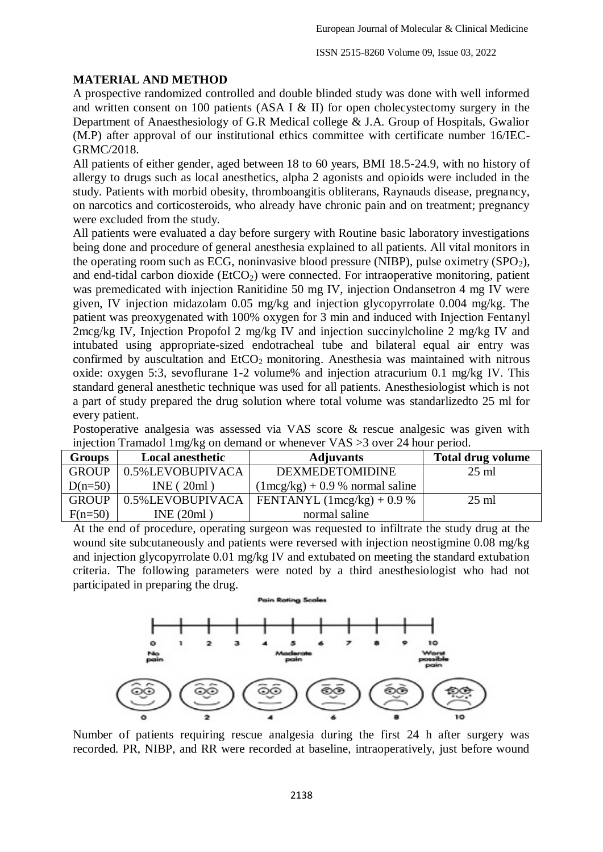### **MATERIAL AND METHOD**

A prospective randomized controlled and double blinded study was done with well informed and written consent on 100 patients (ASA I & II) for open cholecystectomy surgery in the Department of Anaesthesiology of G.R Medical college & J.A. Group of Hospitals, Gwalior (M.P) after approval of our institutional ethics committee with certificate number 16/IEC-GRMC/2018.

All patients of either gender, aged between 18 to 60 years, BMI 18.5-24.9, with no history of allergy to drugs such as local anesthetics, alpha 2 agonists and opioids were included in the study. Patients with morbid obesity, thromboangitis obliterans, Raynauds disease, pregnancy, on narcotics and corticosteroids, who already have chronic pain and on treatment; pregnancy were excluded from the study.

All patients were evaluated a day before surgery with Routine basic laboratory investigations being done and procedure of general anesthesia explained to all patients. All vital monitors in the operating room such as ECG, noninvasive blood pressure (NIBP), pulse oximetry  $(SPO<sub>2</sub>)$ , and end-tidal carbon dioxide ( $ECO<sub>2</sub>$ ) were connected. For intraoperative monitoring, patient was premedicated with injection Ranitidine 50 mg IV, injection Ondansetron 4 mg IV were given, IV injection midazolam 0.05 mg/kg and injection glycopyrrolate 0.004 mg/kg. The patient was preoxygenated with 100% oxygen for 3 min and induced with Injection Fentanyl 2mcg/kg IV, Injection Propofol 2 mg/kg IV and injection succinylcholine 2 mg/kg IV and intubated using appropriate-sized endotracheal tube and bilateral equal air entry was confirmed by auscultation and  $ECO<sub>2</sub>$  monitoring. Anesthesia was maintained with nitrous oxide: oxygen 5:3, sevoflurane 1-2 volume% and injection atracurium 0.1 mg/kg IV. This standard general anesthetic technique was used for all patients. Anesthesiologist which is not a part of study prepared the drug solution where total volume was standarlizedto 25 ml for every patient.

Postoperative analgesia was assessed via VAS score & rescue analgesic was given with injection Tramadol 1mg/kg on demand or whenever VAS >3 over 24 hour period.

| <b>Groups</b> | <b>Local anesthetic</b> | <b>Adjuvants</b>                          | <b>Total drug volume</b> |
|---------------|-------------------------|-------------------------------------------|--------------------------|
| <b>GROUP</b>  | 0.5%LEVOBUPIVACA        | <b>DEXMEDETOMIDINE</b>                    | $25 \text{ ml}$          |
| $D(n=50)$     | INE(20ml)               | $(1 \text{mcg/kg}) + 0.9 %$ normal saline |                          |
| <b>GROUP</b>  | 0.5%LEVOBUPIVACA        | FENTANYL $(1 \text{mcg/kg}) + 0.9 \%$     | $25 \text{ ml}$          |
| $F(n=50)$     | INE(20ml)               | normal saline                             |                          |

At the end of procedure, operating surgeon was requested to infiltrate the study drug at the wound site subcutaneously and patients were reversed with injection neostigmine 0.08 mg/kg and injection glycopyrrolate 0.01 mg/kg IV and extubated on meeting the standard extubation criteria. The following parameters were noted by a third anesthesiologist who had not participated in preparing the drug.



Number of patients requiring rescue analgesia during the first 24 h after surgery was recorded. PR, NIBP, and RR were recorded at baseline, intraoperatively, just before wound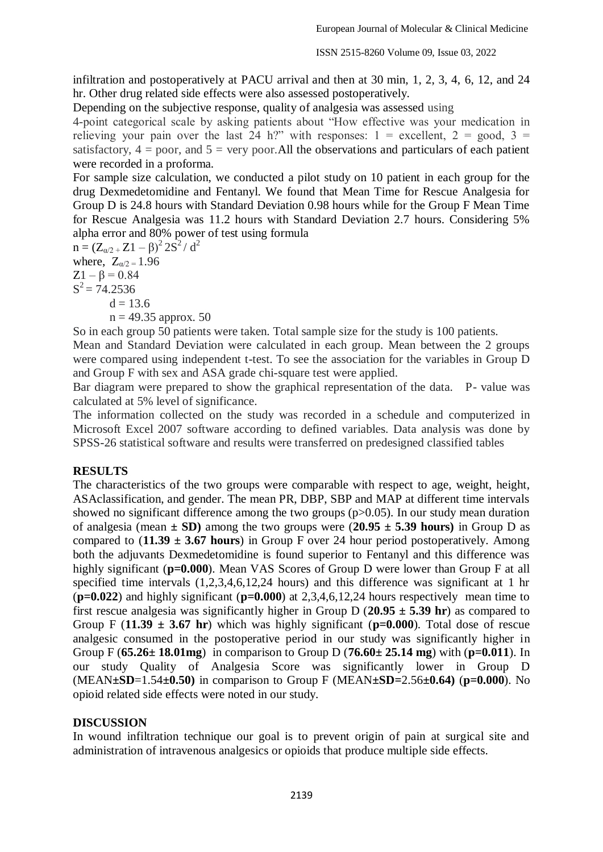ISSN 2515-8260 Volume 09, Issue 03, 2022

infiltration and postoperatively at PACU arrival and then at 30 min, 1, 2, 3, 4, 6, 12, and 24 hr. Other drug related side effects were also assessed postoperatively.

Depending on the subjective response, quality of analgesia was assessed using

4-point categorical scale by asking patients about "How effective was your medication in relieving your pain over the last 24 h?" with responses:  $1 =$  excellent,  $2 =$  good,  $3 =$ satisfactory,  $4 =$  poor, and  $5 =$  very poor. All the observations and particulars of each patient were recorded in a proforma.

For sample size calculation, we conducted a pilot study on 10 patient in each group for the drug Dexmedetomidine and Fentanyl. We found that Mean Time for Rescue Analgesia for Group D is 24.8 hours with Standard Deviation 0.98 hours while for the Group F Mean Time for Rescue Analgesia was 11.2 hours with Standard Deviation 2.7 hours. Considering 5% alpha error and 80% power of test using formula

 $n = (Z_{\alpha/2} + Z1 - \beta)^2 2S^2 / d^2$ where,  $Z_{\alpha/2} = 1.96$  $Z1 - β = 0.84$  $S^2 = 74.2536$  $d = 13.6$  $n = 49.35$  approx. 50

So in each group 50 patients were taken. Total sample size for the study is 100 patients.

Mean and Standard Deviation were calculated in each group. Mean between the 2 groups were compared using independent t-test. To see the association for the variables in Group D and Group F with sex and ASA grade chi-square test were applied.

Bar diagram were prepared to show the graphical representation of the data. P- value was calculated at 5% level of significance.

The information collected on the study was recorded in a schedule and computerized in Microsoft Excel 2007 software according to defined variables. Data analysis was done by SPSS-26 statistical software and results were transferred on predesigned classified tables

### **RESULTS**

The characteristics of the two groups were comparable with respect to age, weight, height, ASAclassification, and gender. The mean PR, DBP, SBP and MAP at different time intervals showed no significant difference among the two groups  $(p>0.05)$ . In our study mean duration of analgesia (mean  $\pm$  SD) among the two groups were (20.95  $\pm$  5.39 hours) in Group D as compared to (**11.39 ± 3.67 hours**) in Group F over 24 hour period postoperatively. Among both the adjuvants Dexmedetomidine is found superior to Fentanyl and this difference was highly significant ( $p=0.000$ ). Mean VAS Scores of Group D were lower than Group F at all specified time intervals (1,2,3,4,6,12,24 hours) and this difference was significant at 1 hr (**p=0.022**) and highly significant (**p=0.000**) at 2,3,4,6,12,24 hours respectively mean time to first rescue analgesia was significantly higher in Group D (**20.95 ± 5.39 hr**) as compared to Group F  $(11.39 \pm 3.67 \text{ hr})$  which was highly significant  $(p=0.000)$ . Total dose of rescue analgesic consumed in the postoperative period in our study was significantly higher in Group F (**65.26± 18.01mg**) in comparison to Group D (**76.60± 25.14 mg**) with (**p=0.011**). In our study Quality of Analgesia Score was significantly lower in Group D (MEAN**±SD**=1.54**±0.50)** in comparison to Group F (MEAN**±SD=**2.56**±0.64)** (**p=0.000**). No opioid related side effects were noted in our study.

### **DISCUSSION**

In wound infiltration technique our goal is to prevent origin of pain at surgical site and administration of intravenous analgesics or opioids that produce multiple side effects.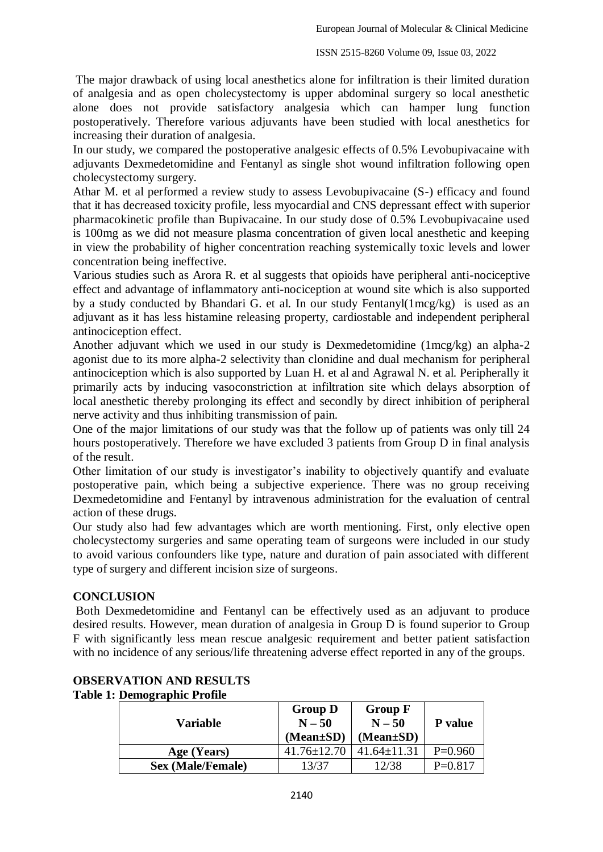The major drawback of using local anesthetics alone for infiltration is their limited duration of analgesia and as open cholecystectomy is upper abdominal surgery so local anesthetic alone does not provide satisfactory analgesia which can hamper lung function postoperatively. Therefore various adjuvants have been studied with local anesthetics for increasing their duration of analgesia.

In our study, we compared the postoperative analgesic effects of 0.5% Levobupivacaine with adjuvants Dexmedetomidine and Fentanyl as single shot wound infiltration following open cholecystectomy surgery.

Athar M. et al performed a review study to assess Levobupivacaine (S-) efficacy and found that it has decreased toxicity profile, less myocardial and CNS depressant effect with superior pharmacokinetic profile than Bupivacaine. In our study dose of 0.5% Levobupivacaine used is 100mg as we did not measure plasma concentration of given local anesthetic and keeping in view the probability of higher concentration reaching systemically toxic levels and lower concentration being ineffective.

Various studies such as Arora R. et al suggests that opioids have peripheral anti-nociceptive effect and advantage of inflammatory anti-nociception at wound site which is also supported by a study conducted by Bhandari G. et al. In our study Fentanyl(1mcg/kg) is used as an adjuvant as it has less histamine releasing property, cardiostable and independent peripheral antinociception effect.

Another adjuvant which we used in our study is Dexmedetomidine (1mcg/kg) an alpha-2 agonist due to its more alpha-2 selectivity than clonidine and dual mechanism for peripheral antinociception which is also supported by Luan H. et al and Agrawal N. et al. Peripherally it primarily acts by inducing vasoconstriction at infiltration site which delays absorption of local anesthetic thereby prolonging its effect and secondly by direct inhibition of peripheral nerve activity and thus inhibiting transmission of pain.

One of the major limitations of our study was that the follow up of patients was only till 24 hours postoperatively. Therefore we have excluded 3 patients from Group D in final analysis of the result.

Other limitation of our study is investigator's inability to objectively quantify and evaluate postoperative pain, which being a subjective experience. There was no group receiving Dexmedetomidine and Fentanyl by intravenous administration for the evaluation of central action of these drugs.

Our study also had few advantages which are worth mentioning. First, only elective open cholecystectomy surgeries and same operating team of surgeons were included in our study to avoid various confounders like type, nature and duration of pain associated with different type of surgery and different incision size of surgeons.

### **CONCLUSION**

Both Dexmedetomidine and Fentanyl can be effectively used as an adjuvant to produce desired results. However, mean duration of analgesia in Group D is found superior to Group F with significantly less mean rescue analgesic requirement and better patient satisfaction with no incidence of any serious/life threatening adverse effect reported in any of the groups.

| Variable                 | <b>Group D</b><br>$N - 50$<br>$(Mean \pm SD)$ | <b>Group F</b><br>$N - 50$<br>(Mean±SD) | <b>P</b> value |
|--------------------------|-----------------------------------------------|-----------------------------------------|----------------|
| Age (Years)              | $41.76 \pm 12.70$                             | $41.64 \pm 11.31$                       | $P=0.960$      |
| <b>Sex (Male/Female)</b> | 13/37                                         | 12/38                                   | $P=0.817$      |

#### **OBSERVATION AND RESULTS Table 1: Demographic Profile**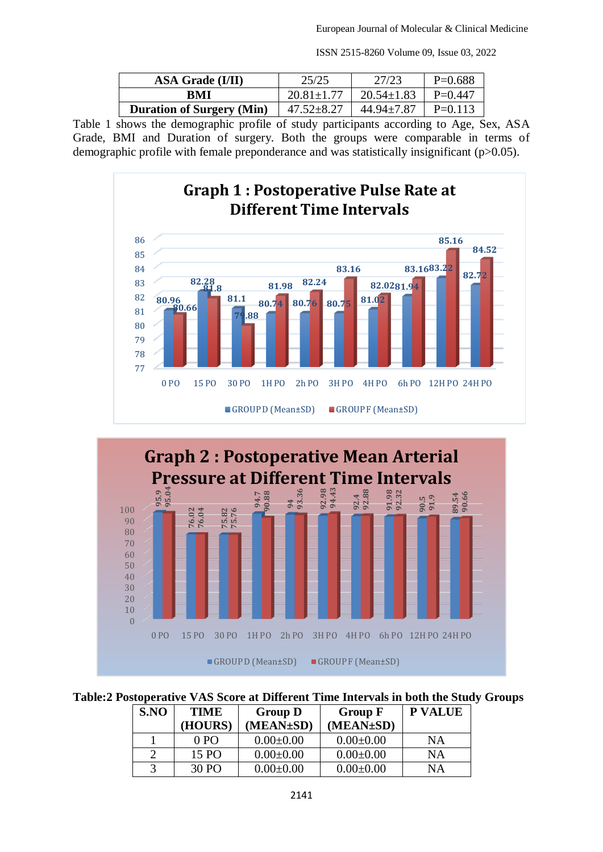| ISSN 2515-8260 Volume 09, Issue 03, 2022 |  |  |  |
|------------------------------------------|--|--|--|
|------------------------------------------|--|--|--|

| <b>ASA Grade (I/II)</b>          | 25/25            | 27/23                      | $P=0.688$ |
|----------------------------------|------------------|----------------------------|-----------|
| BMI                              | $20.81 + 1.77$   | $20.54 \pm 1.83$           | $P=0.447$ |
| <b>Duration of Surgery (Min)</b> | $47.52 \pm 8.27$ | $44.94 \pm 7.87$   P=0.113 |           |

Table 1 shows the demographic profile of study participants according to Age, Sex, ASA Grade, BMI and Duration of surgery. Both the groups were comparable in terms of demographic profile with female preponderance and was statistically insignificant (p>0.05).





**Table:2 Postoperative VAS Score at Different Time Intervals in both the Study Groups**

| S.NO | <b>TIME</b> | <b>Group D</b>  | <b>Group F</b>  | <b>P VALUE</b> |
|------|-------------|-----------------|-----------------|----------------|
|      | (HOURS)     | (MEAN±SD)       | (MEAN±SD)       |                |
|      | 0PQ         | $0.00 \pm 0.00$ | $0.00 \pm 0.00$ | <b>NA</b>      |
|      | 15 PO       | $0.00 \pm 0.00$ | $0.00 \pm 0.00$ | <b>NA</b>      |
|      | 30 PO       | $0.00 \pm 0.00$ | $0.00 \pm 0.00$ | ΝA             |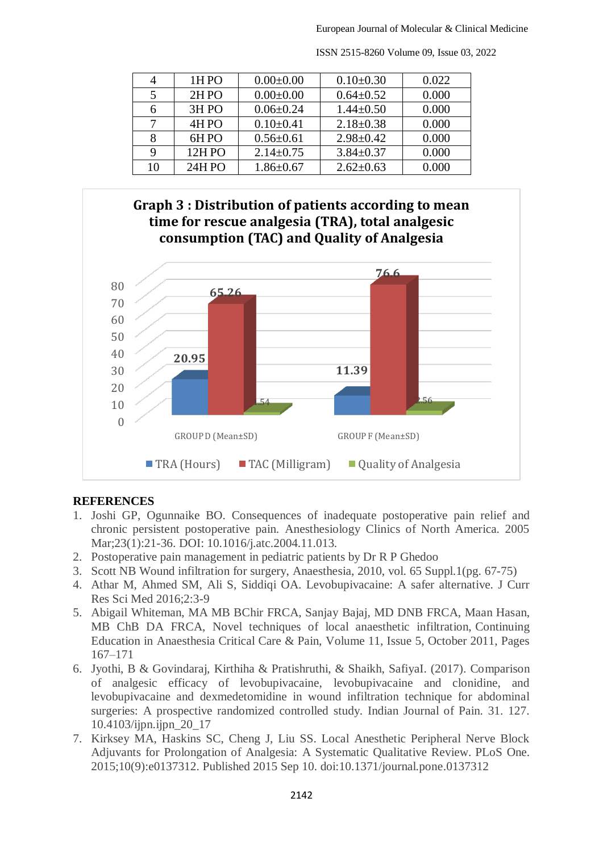| 4  | 1H <sub>PO</sub> | $0.00 \pm 0.00$ | $0.10\pm0.30$   | 0.022     |
|----|------------------|-----------------|-----------------|-----------|
| 5  | 2HPO             | $0.00 \pm 0.00$ | $0.64 \pm 0.52$ | 0.000     |
| 6  | 3H <sub>PO</sub> | $0.06 \pm 0.24$ | $1.44 \pm 0.50$ | 0.000     |
|    | 4HPO             | $0.10 \pm 0.41$ | $2.18 \pm 0.38$ | 0.000     |
| 8  | 6HPO             | $0.56 \pm 0.61$ | $2.98 \pm 0.42$ | 0.000     |
| 9  | 12HPO            | $2.14 \pm 0.75$ | $3.84 \pm 0.37$ | 0.000     |
| 10 | <b>24HPO</b>     | $1.86 \pm 0.67$ | $2.62 \pm 0.63$ | $0.000\,$ |

ISSN 2515-8260 Volume 09, Issue 03, 2022



### **REFERENCES**

- 1. Joshi GP, Ogunnaike BO. Consequences of inadequate postoperative pain relief and chronic persistent postoperative pain. Anesthesiology Clinics of North America. 2005 Mar; 23(1): 21-36. DOI: 10.1016/j.atc. 2004. 11.013.
- 2. Postoperative pain management in pediatric patients by Dr R P Ghedoo
- 3. Scott NB Wound infiltration for surgery, Anaesthesia, 2010, vol. 65 Suppl.1(pg. 67-75)
- 4. Athar M, Ahmed SM, Ali S, Siddiqi OA. Levobupivacaine: A safer alternative. J Curr Res Sci Med 2016;2:3-9
- 5. Abigail Whiteman, MA MB BChir FRCA, Sanjay Bajaj, MD DNB FRCA, Maan Hasan, MB ChB DA FRCA, Novel techniques of local anaesthetic infiltration, Continuing Education in Anaesthesia Critical Care & Pain, Volume 11, Issue 5, October 2011, Pages 167–171
- 6. Jyothi, B & Govindaraj, Kirthiha & Pratishruthi, & Shaikh, SafiyaI. (2017). Comparison of analgesic efficacy of levobupivacaine, levobupivacaine and clonidine, and levobupivacaine and dexmedetomidine in wound infiltration technique for abdominal surgeries: A prospective randomized controlled study. Indian Journal of Pain. 31. 127. 10.4103/ijpn.ijpn\_20\_17
- 7. Kirksey MA, Haskins SC, Cheng J, Liu SS. Local Anesthetic Peripheral Nerve Block Adjuvants for Prolongation of Analgesia: A Systematic Qualitative Review. PLoS One. 2015;10(9):e0137312. Published 2015 Sep 10. doi:10.1371/journal.pone.0137312